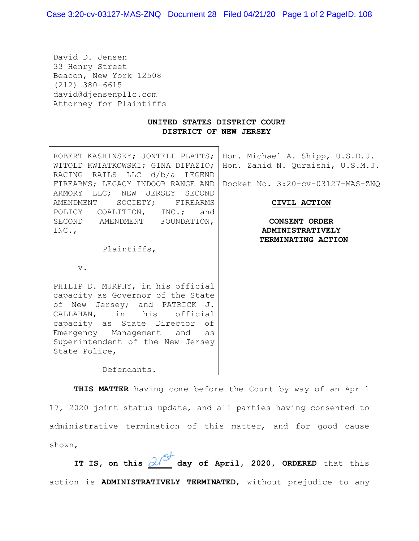Case 3:20-cv-03127-MAS-ZNQ Document 28 Filed 04/21/20 Page 1 of 2 PageID: 108

David D. Jensen 33 Henry Street Beacon, New York 12508 (212) 380-6615 david@djensenpllc.com Attorney for Plaintiffs

## **UNITED STATES DISTRICT COURT DISTRICT OF NEW JERSEY**

| ROBERT KASHINSKY; JONTELL PLATTS;   Hon. Michael A. Shipp, U.S.D.J.<br>WITOLD KWIATKOWSKI; GINA DIFAZIO;   Hon. Zahid N. Quraishi, U.S.M.J.<br>RACING RAILS LLC d/b/a LEGEND |                                                                       |
|------------------------------------------------------------------------------------------------------------------------------------------------------------------------------|-----------------------------------------------------------------------|
| FIREARMS; LEGACY INDOOR RANGE AND   Docket No. 3:20-cv-03127-MAS-ZNQ<br>ARMORY LLC; NEW JERSEY SECOND                                                                        |                                                                       |
| AMENDMENT SOCIETY; FIREARMS<br>POLICY COALITION, INC.; and                                                                                                                   | CIVIL ACTION                                                          |
| SECOND AMENDMENT FOUNDATION,<br>INC.                                                                                                                                         | <b>CONSENT ORDER</b><br><b>ADMINISTRATIVELY</b><br>TERMINATING ACTION |

## Plaintiffs,

v.

PHILIP D. MURPHY, in his official capacity as Governor of the State of New Jersey; and PATRICK J. CALLAHAN, in his official capacity as State Director of Emergency Management and as Superintendent of the New Jersey State Police,

## Defendants.

**THIS MATTER** having come before the Court by way of an April 17, 2020 joint status update, and all parties having consented to administrative termination of this matter, and for good cause shown,

**IT IS, on this**  $\frac{\partial l}{\partial s}$  **day of April, 2020, ORDERED** that this action is **ADMINISTRATIVELY TERMINATED**, without prejudice to any